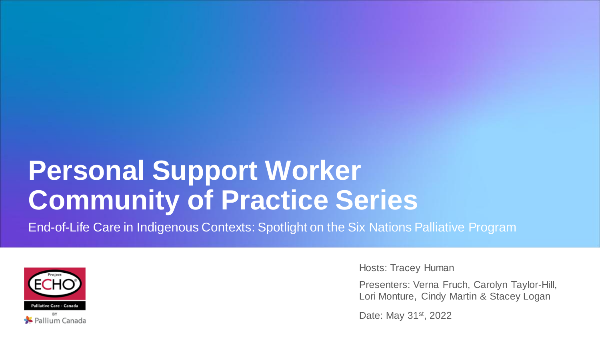## **Personal Support Worker Community of Practice Series**

End-of-Life Care in Indigenous Contexts: Spotlight on the Six Nations Palliative Program



Hosts: Tracey Human

Presenters: Verna Fruch, Carolyn Taylor-Hill, Lori Monture, Cindy Martin & Stacey Logan

Date: May 31<sup>st</sup>, 2022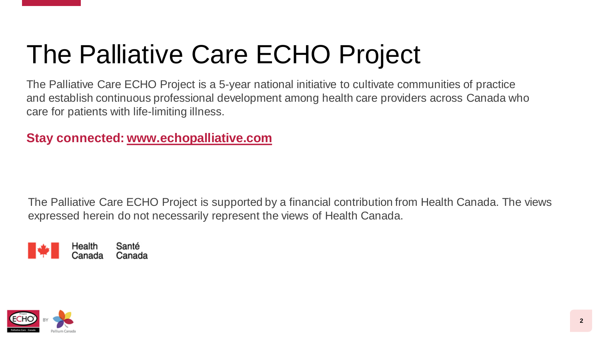# The Palliative Care ECHO Project

The Palliative Care ECHO Project is a 5-year national initiative to cultivate communities of practice and establish continuous professional development among health care providers across Canada who care for patients with life-limiting illness.

**Stay connected: [www.echopalliative.com](http://www.echopalliative.com/)**

The Palliative Care ECHO Project is supported by a financial contribution from Health Canada. The views expressed herein do not necessarily represent the views of Health Canada.



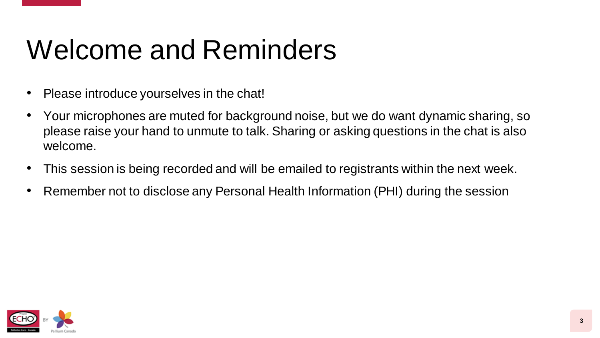# Welcome and Reminders

- Please introduce yourselves in the chat!
- Your microphones are muted for background noise, but we do want dynamic sharing, so please raise your hand to unmute to talk. Sharing or asking questions in the chat is also welcome.
- This session is being recorded and will be emailed to registrants within the next week.
- Remember not to disclose any Personal Health Information (PHI) during the session

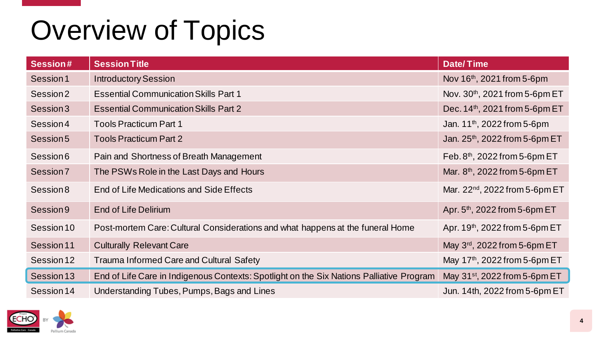# Overview of Topics

| <b>Session#</b> | <b>Session Title</b>                                                                     | <b>Date/Time</b>                           |
|-----------------|------------------------------------------------------------------------------------------|--------------------------------------------|
| Session 1       | <b>Introductory Session</b>                                                              | Nov 16 <sup>th</sup> , 2021 from 5-6pm     |
| Session 2       | <b>Essential Communication Skills Part 1</b>                                             | Nov. $30th$ , 2021 from 5-6pm ET           |
| Session 3       | <b>Essential Communication Skills Part 2</b>                                             | Dec. $14th$ , 2021 from 5-6pm ET           |
| Session 4       | <b>Tools Practicum Part 1</b>                                                            | Jan. $11^{th}$ , 2022 from 5-6pm           |
| Session 5       | <b>Tools Practicum Part 2</b>                                                            | Jan. 25 <sup>th</sup> , 2022 from 5-6pm ET |
| Session 6       | Pain and Shortness of Breath Management                                                  | Feb. $8th$ , 2022 from 5-6pm ET            |
| Session 7       | The PSWs Role in the Last Days and Hours                                                 | Mar. $8th$ , 2022 from 5-6pm ET            |
| Session 8       | End of Life Medications and Side Effects                                                 | Mar. 22 <sup>nd</sup> , 2022 from 5-6pm ET |
| Session 9       | <b>End of Life Delirium</b>                                                              | Apr. $5th$ , 2022 from 5-6pm ET            |
| Session 10      | Post-mortem Care: Cultural Considerations and what happens at the funeral Home           | Apr. $19th$ , 2022 from 5-6pm ET           |
| Session 11      | <b>Culturally Relevant Care</b>                                                          | May 3rd, 2022 from 5-6pm ET                |
| Session 12      | <b>Trauma Informed Care and Cultural Safety</b>                                          | May 17 <sup>th</sup> , 2022 from 5-6pm ET  |
| Session 13      | End of Life Care in Indigenous Contexts: Spotlight on the Six Nations Palliative Program | May $31st$ , 2022 from 5-6pm ET            |
| Session 14      | Understanding Tubes, Pumps, Bags and Lines                                               | Jun. 14th, 2022 from 5-6pm ET              |

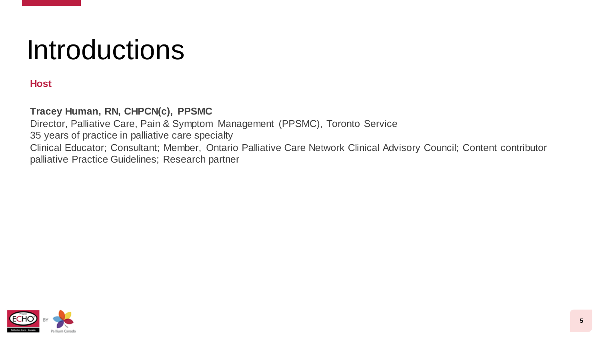## **Introductions**

#### **Host**

#### **Tracey Human, RN, CHPCN(c), PPSMC**

Director, Palliative Care, Pain & Symptom Management (PPSMC), Toronto Service 35 years of practice in palliative care specialty Clinical Educator; Consultant; Member, Ontario Palliative Care Network Clinical Advisory Council; Content contributor palliative Practice Guidelines; Research partner

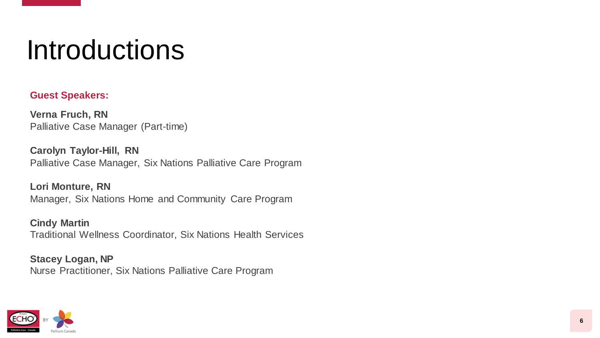## Introductions

#### **Guest Speakers:**

**Verna Fruch, RN** Palliative Case Manager (Part-time)

**Carolyn Taylor-Hill, RN** Palliative Case Manager, Six Nations Palliative Care Program

**Lori Monture, RN** Manager, Six Nations Home and Community Care Program

**Cindy Martin** Traditional Wellness Coordinator, Six Nations Health Services

**Stacey Logan, NP** Nurse Practitioner, Six Nations Palliative Care Program

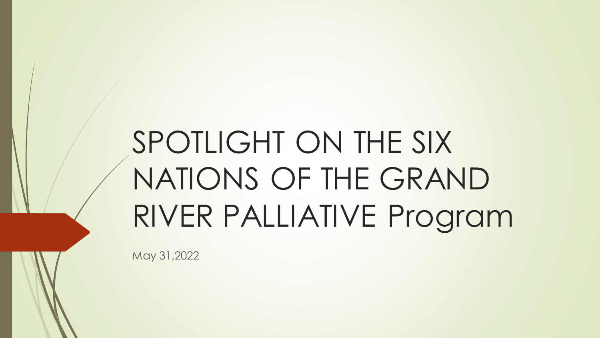# SPOTLIGHT ON THE SIX NATIONS OF THE GRAND RIVER PALLIATIVE Program

May 31,2022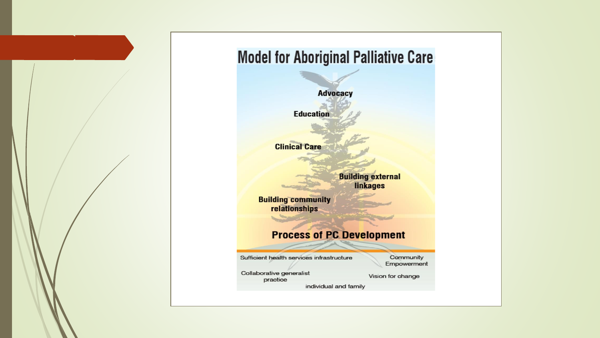

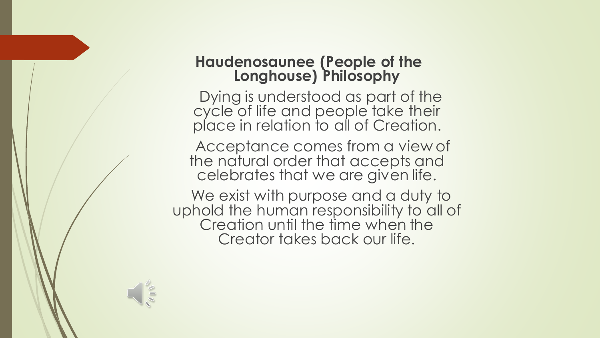#### **Haudenosaunee (People of the Longhouse) Philosophy**

Dying is understood as part of the cycle of life and people take their place in relation to all of Creation.

Acceptance comes from a view of the natural order that accepts and celebrates that we are given life.

We exist with purpose and a duty to uphold the human responsibility to all of Creation until the time when the Creator takes back our life.

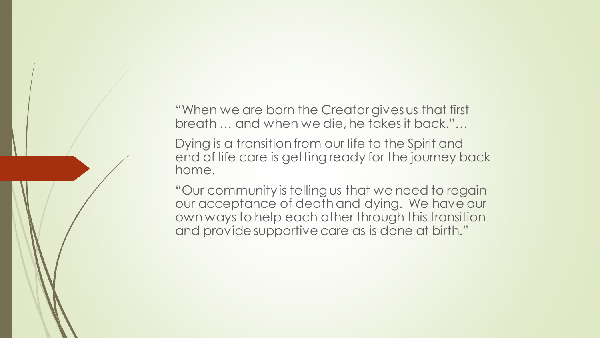"When we are born the Creator gives us that first breath … and when we die, he takes it back."…

Dying is a transition from our life to the Spirit and end of life care is getting ready for the journey back home.

"Our community is telling us that we need to regain our acceptance of death and dying. We have our own ways to help each other through this transition and provide supportive care as is done at birth."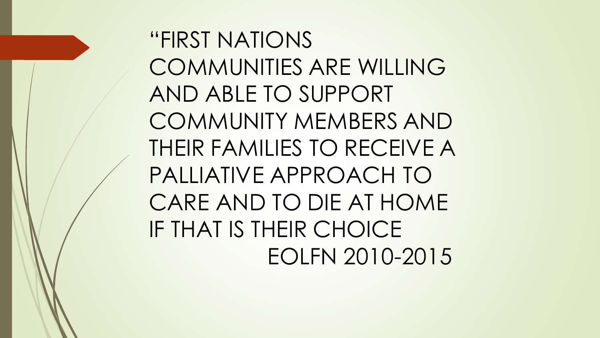"FIRST NATIONS COMMUNITIES ARE WILLING AND ABLE TO SUPPORT COMMUNITY MEMBERS AND THEIR FAMILIES TO RECEIVE A PALLIATIVE APPROACH TO CARE AND TO DIE AT HOME IF THAT IS THEIR CHOICE EOLFN 2010-2015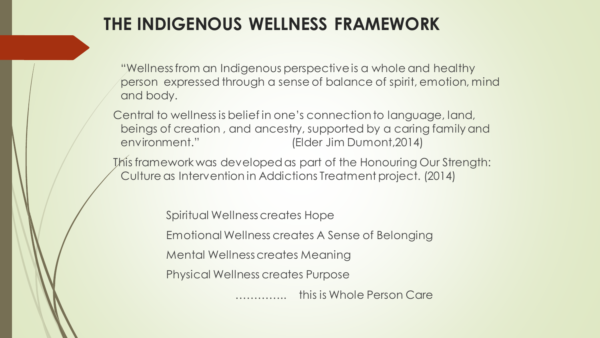#### **THE INDIGENOUS WELLNESS FRAMEWORK**

"Wellness from an Indigenous perspective is a whole and healthy person expressed through a sense of balance of spirit, emotion, mind and body.

Central to wellness is belief in one's connection to language, land, beings of creation , and ancestry, supported by a caring family and environment." (Elder Jim Dumont,2014)

This framework was developed as part of the Honouring Our Strength: Culture as Intervention in Addictions Treatment project. (2014)

> Spiritual Wellness creates Hope Emotional Wellness creates A Sense of Belonging Mental Wellness creates Meaning Physical Wellness creates Purpose ………….. this is Whole Person Care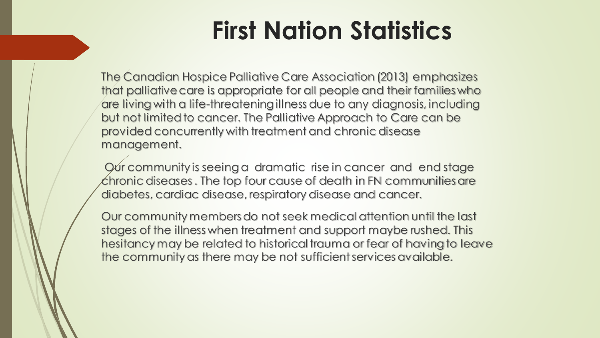## **First Nation Statistics**

The Canadian Hospice Palliative Care Association (2013) emphasizes that palliative care is appropriate for all people and their families who are living with a life-threatening illness due to any diagnosis, including but not limited to cancer. The Palliative Approach to Care can be provided concurrently with treatment and chronic disease management.

Our community is seeing a dramatic rise in cancer and end stage chronic diseases . The top four cause of death in FN communities are diabetes, cardiac disease, respiratory disease and cancer.

Our community members do not seek medical attention until the last stages of the illness when treatment and support maybe rushed. This hesitancy may be related to historical trauma or fear of having to leave the community as there may be not sufficient services available.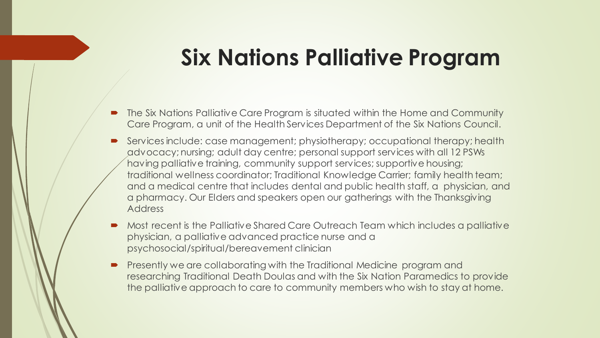#### **Six Nations Palliative Program**

- The Six Nations Palliative Care Program is situated within the Home and Community Care Program, a unit of the Health Services Department of the Six Nations Council.
- Services include: case management; physiotherapy; occupational therapy; health advocacy; nursing; adult day centre; personal support services with all 12 PSWs having palliative training, community support services; supportive housing; traditional wellness coordinator; Traditional Knowledge Carrier; family health team; and a medical centre that includes dental and public health staff, a physician, and a pharmacy. Our Elders and speakers open our gatherings with the Thanksgiving Address
- Most recent is the Palliative Shared Care Outreach Team which includes a palliative physician, a palliative advanced practice nurse and a psychosocial/spiritual/bereavement clinician
- Presently we are collaborating with the Traditional Medicine program and researching Traditional Death Doulas and with the Six Nation Paramedics to provide the palliative approach to care to community members who wish to stay at home.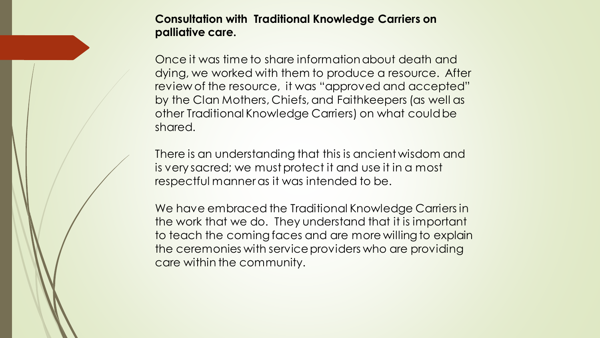**Consultation with Traditional Knowledge Carriers on palliative care.**

Once it was time to share information about death and dying, we worked with them to produce a resource. After review of the resource, it was "approved and accepted" by the Clan Mothers, Chiefs, and Faithkeepers (as well as other Traditional Knowledge Carriers) on what could be shared.

There is an understanding that this is ancient wisdom and is very sacred; we must protect it and use it in a most respectful manner as it was intended to be.

We have embraced the Traditional Knowledge Carriers in the work that we do. They understand that it is important to teach the coming faces and are more willing to explain the ceremonies with service providers who are providing care within the community.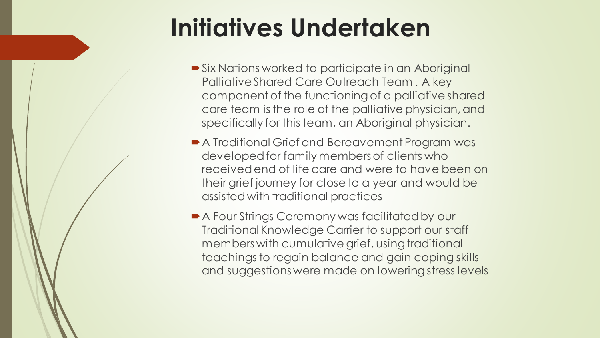## **Initiatives Undertaken**

- Six Nations worked to participate in an Aboriginal Palliative Shared Care Outreach Team . A key component of the functioning of a palliative shared care team is the role of the palliative physician, and specifically for this team, an Aboriginal physician.
- A Traditional Grief and Bereavement Program was developed for family members of clients who received end of life care and were to have been on their grief journey for close to a year and would be assisted with traditional practices
- A Four Strings Ceremony was facilitated by our Traditional Knowledge Carrier to support our staff members with cumulative grief, using traditional teachings to regain balance and gain coping skills and suggestions were made on lowering stress levels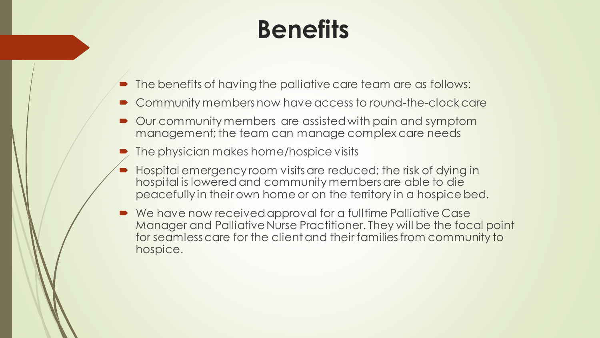## **Benefits**

- The benefits of having the palliative care team are as follows:
- Community members now have access to round-the-clock care
- Our community members are assisted with pain and symptom management; the team can manage complex care needs
- The physician makes home/hospice visits
- Hospital emergency room visits are reduced; the risk of dying in hospital is lowered and community members are able to die peacefully in their own home or on the territory in a hospice bed.
- We have now received approval for a fulltime Palliative Case Manager and Palliative Nurse Practitioner. They will be the focal point for seamless care for the client and their families from community to hospice.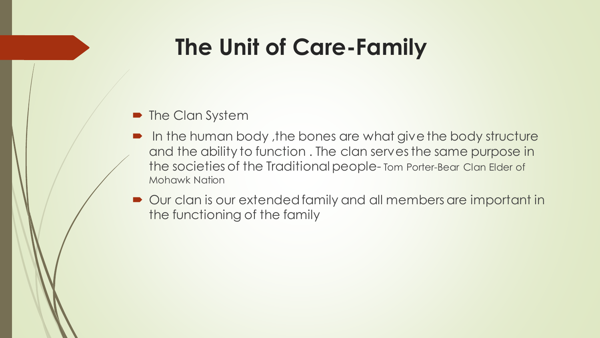### **The Unit of Care-Family**

- The Clan System
- In the human body, the bones are what give the body structure and the ability to function . The clan serves the same purpose in the societies of the Traditional people- Tom Porter-Bear Clan Elder of Mohawk Nation
- Our clan is our extended family and all members are important in the functioning of the family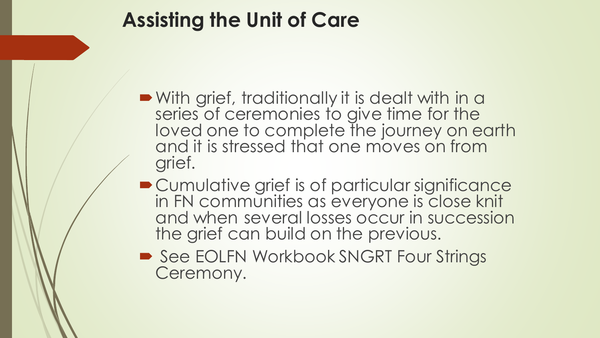#### **Assisting the Unit of Care**

- With grief, traditionally it is dealt with in a series of ceremonies to give time for the loved one to complete the journey on earth and it is stressed that one moves on from grief.
- **Cumulative grief is of particular significance** in FN communities as everyone is close knit and when several losses occur in succession the grief can build on the previous.
- See EOLFN Workbook SNGRT Four Strings Ceremony.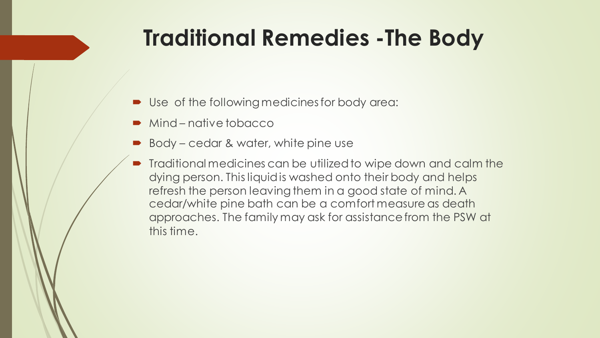### **Traditional Remedies -The Body**

- Use of the following medicines for body area:
- Mind native tobacco
- Body cedar & water, white pine use
- Traditional medicines can be utilized to wipe down and calm the dying person. This liquid is washed onto their body and helps refresh the person leaving them in a good state of mind. A cedar/white pine bath can be a comfort measure as death approaches. The family may ask for assistance from the PSW at this time.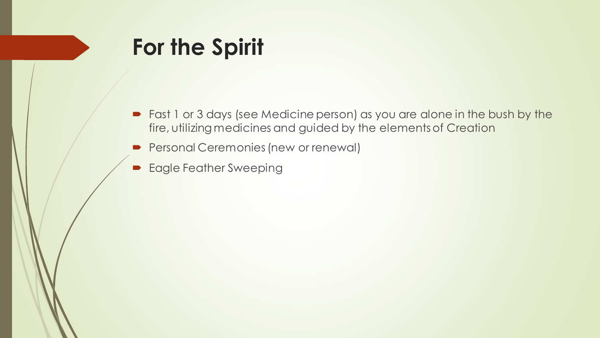### **For the Spirit**

- Fast 1 or 3 days (see Medicine person) as you are alone in the bush by the fire, utilizing medicines and guided by the elements of Creation
- **Personal Ceremonies (new or renewal)**
- Eagle Feather Sweeping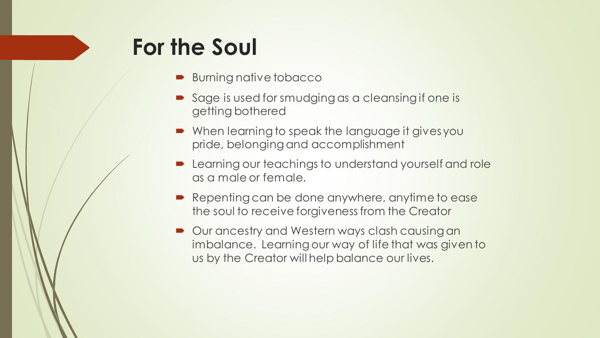#### **For the Soul**

- **Burning native tobacco**
- Sage is used for smudging as a cleansing if one is getting bothered
- When learning to speak the language it gives you pride, belonging and accomplishment
- Learning our teachings to understand yourself and role as a male or female.
- Repenting can be done anywhere, anytime to ease the soul to receive forgiveness from the Creator
- Our ancestry and Western ways clash causing an imbalance. Learning our way of life that was given to us by the Creator will help balance our lives.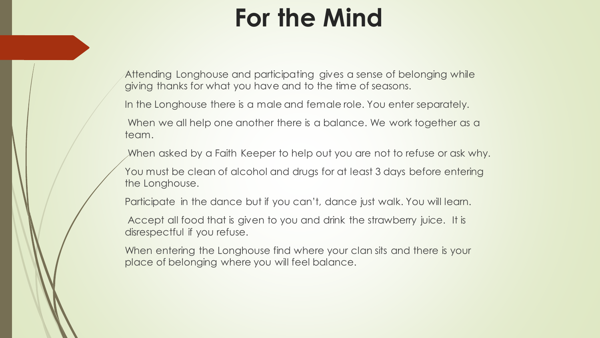## **For the Mind**

Attending Longhouse and participating gives a sense of belonging while giving thanks for what you have and to the time of seasons.

In the Longhouse there is a male and female role. You enter separately.

When we all help one another there is a balance. We work together as a team.

When asked by a Faith Keeper to help out you are not to refuse or ask why.

You must be clean of alcohol and drugs for at least 3 days before entering the Longhouse.

Participate in the dance but if you can't, dance just walk. You will learn.

Accept all food that is given to you and drink the strawberry juice. It is disrespectful if you refuse.

When entering the Longhouse find where your clan sits and there is your place of belonging where you will feel balance.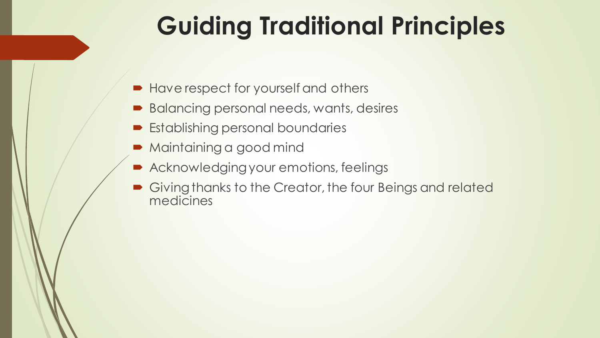## **Guiding Traditional Principles**

- **Have respect for yourself and others**
- Balancing personal needs, wants, desires
- **Establishing personal boundaries**
- Maintaining a good mind
- Acknowledging your emotions, feelings
- Giving thanks to the Creator, the four Beings and related medicines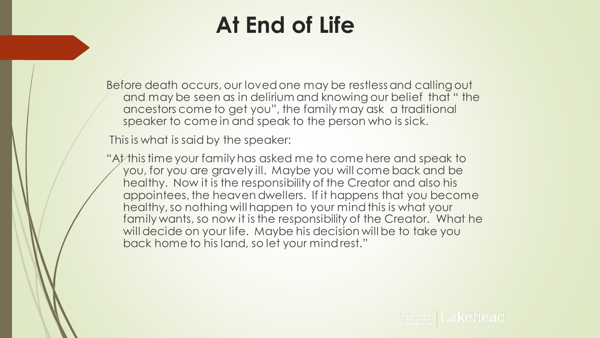### **At End of Life**

Before death occurs, our loved one may be restless and calling out and may be seen as in delirium and knowing our belief that " the ancestors come to get you", the family may ask a traditional speaker to come in and speak to the person who is sick.

This is what is said by the speaker:

"At this time your family has asked me to come here and speak to you, for you are gravely ill. Maybe you will come back and be healthy. Now it is the responsibility of the Creator and also his appointees, the heaven dwellers. If it happens that you become healthy, so nothing will happen to your mind this is what your family wants, so now it is the responsibility of the Creator. What he will decide on your life. Maybe his decision will be to take you back home to his land, so let your mind rest."

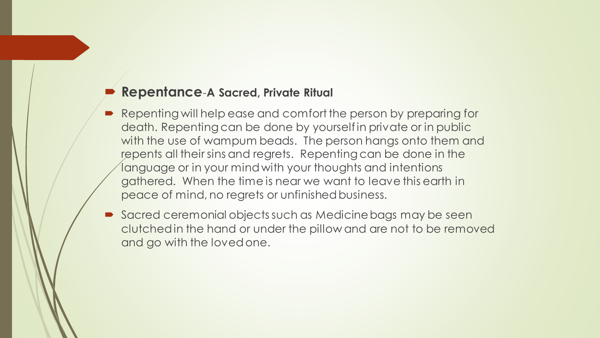#### **Repentance**-**A Sacred, Private Ritual**

- Repenting will help ease and comfort the person by preparing for death. Repenting can be done by yourself in private or in public with the use of wampum beads. The person hangs onto them and repents all their sins and regrets. Repenting can be done in the language or in your mind with your thoughts and intentions gathered. When the time is near we want to leave this earth in peace of mind, no regrets or unfinished business.
- Sacred ceremonial objects such as Medicine bags may be seen clutched in the hand or under the pillow and are not to be removed and go with the loved one.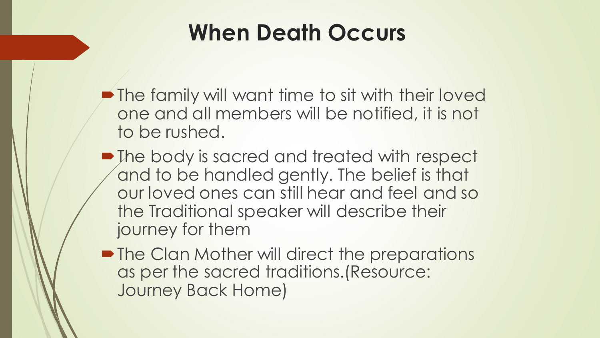### **When Death Occurs**

- **P** The family will want time to sit with their loved one and all members will be notified, it is not to be rushed.
- The body is sacred and treated with respect and to be handled gently. The belief is that our loved ones can still hear and feel and so the Traditional speaker will describe their journey for them
- The Clan Mother will direct the preparations as per the sacred traditions.(Resource: Journey Back Home)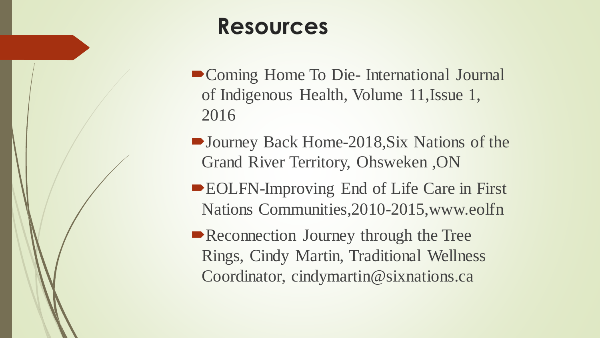#### **Resources**

- Coming Home To Die- International Journal of Indigenous Health, Volume 11,Issue 1, 2016
- Journey Back Home-2018, Six Nations of the Grand River Territory, Ohsweken ,ON
- ■EOLFN-Improving End of Life Care in First Nations Communities,2010-2015,www.eolfn
- Reconnection Journey through the Tree Rings, Cindy Martin, Traditional Wellness Coordinator, cindymartin@sixnations.ca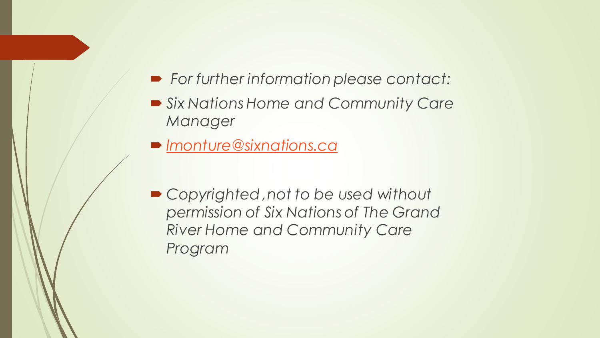- *For further information please contact:*
- *Six Nations Home and Community Care Manager*
- *[lmonture@sixnations.ca](mailto:lmonture@sixnations.ca)*
- *Copyrighted ,not to be used without permission of Six Nations of The Grand River Home and Community Care Program*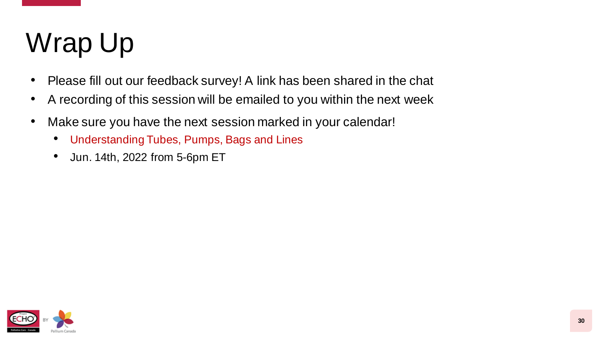# Wrap Up

- Please fill out our feedback survey! A link has been shared in the chat
- A recording of this session will be emailed to you within the next week
- Make sure you have the next session marked in your calendar!
	- Understanding Tubes, Pumps, Bags and Lines
	- Jun. 14th, 2022 from 5-6pm ET